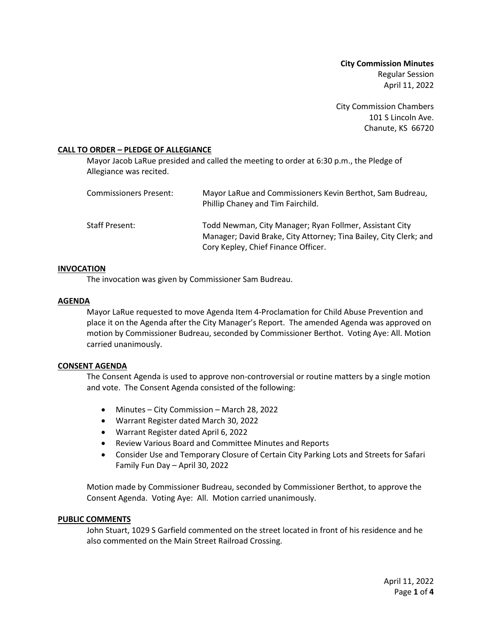**City Commission Minutes** Regular Session April 11, 2022

City Commission Chambers 101 S Lincoln Ave. Chanute, KS 66720

# **CALL TO ORDER – PLEDGE OF ALLEGIANCE**

Mayor Jacob LaRue presided and called the meeting to order at 6:30 p.m., the Pledge of Allegiance was recited.

| Commissioners Present: | Mayor LaRue and Commissioners Kevin Berthot, Sam Budreau,<br>Phillip Chaney and Tim Fairchild.                                                                      |
|------------------------|---------------------------------------------------------------------------------------------------------------------------------------------------------------------|
| Staff Present:         | Todd Newman, City Manager; Ryan Follmer, Assistant City<br>Manager; David Brake, City Attorney; Tina Bailey, City Clerk; and<br>Cory Kepley, Chief Finance Officer. |

# **INVOCATION**

The invocation was given by Commissioner Sam Budreau.

# **AGENDA**

Mayor LaRue requested to move Agenda Item 4-Proclamation for Child Abuse Prevention and place it on the Agenda after the City Manager's Report. The amended Agenda was approved on motion by Commissioner Budreau, seconded by Commissioner Berthot. Voting Aye: All. Motion carried unanimously.

#### **CONSENT AGENDA**

The Consent Agenda is used to approve non-controversial or routine matters by a single motion and vote. The Consent Agenda consisted of the following:

- Minutes City Commission March 28, 2022
- Warrant Register dated March 30, 2022
- Warrant Register dated April 6, 2022
- Review Various Board and Committee Minutes and Reports
- Consider Use and Temporary Closure of Certain City Parking Lots and Streets for Safari Family Fun Day – April 30, 2022

Motion made by Commissioner Budreau, seconded by Commissioner Berthot, to approve the Consent Agenda. Voting Aye: All. Motion carried unanimously.

#### **PUBLIC COMMENTS**

John Stuart, 1029 S Garfield commented on the street located in front of his residence and he also commented on the Main Street Railroad Crossing.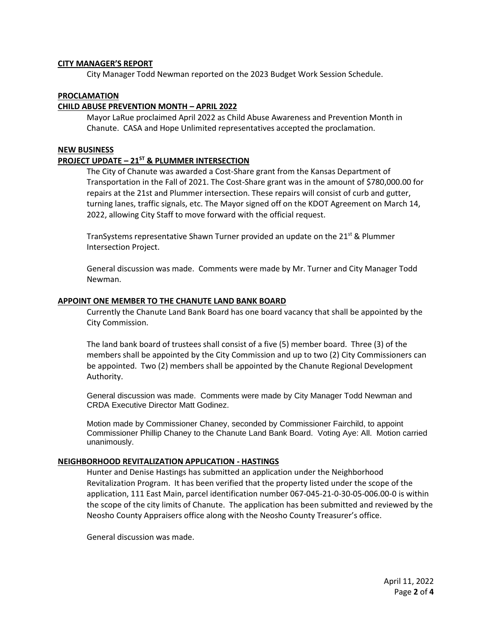#### **CITY MANAGER'S REPORT**

City Manager Todd Newman reported on the 2023 Budget Work Session Schedule.

# **PROCLAMATION**

# **CHILD ABUSE PREVENTION MONTH – APRIL 2022**

Mayor LaRue proclaimed April 2022 as Child Abuse Awareness and Prevention Month in Chanute. CASA and Hope Unlimited representatives accepted the proclamation.

# **NEW BUSINESS**

# **PROJECT UPDATE – 21ST & PLUMMER INTERSECTION**

The City of Chanute was awarded a Cost-Share grant from the Kansas Department of Transportation in the Fall of 2021. The Cost-Share grant was in the amount of \$780,000.00 for repairs at the 21st and Plummer intersection. These repairs will consist of curb and gutter, turning lanes, traffic signals, etc. The Mayor signed off on the KDOT Agreement on March 14, 2022, allowing City Staff to move forward with the official request.

TranSystems representative Shawn Turner provided an update on the 21<sup>st</sup> & Plummer Intersection Project.

General discussion was made. Comments were made by Mr. Turner and City Manager Todd Newman.

#### **APPOINT ONE MEMBER TO THE CHANUTE LAND BANK BOARD**

Currently the Chanute Land Bank Board has one board vacancy that shall be appointed by the City Commission.

The land bank board of trustees shall consist of a five (5) member board. Three (3) of the members shall be appointed by the City Commission and up to two (2) City Commissioners can be appointed. Two (2) members shall be appointed by the Chanute Regional Development Authority.

General discussion was made. Comments were made by City Manager Todd Newman and CRDA Executive Director Matt Godinez.

Motion made by Commissioner Chaney, seconded by Commissioner Fairchild, to appoint Commissioner Phillip Chaney to the Chanute Land Bank Board. Voting Aye: All. Motion carried unanimously.

#### **NEIGHBORHOOD REVITALIZATION APPLICATION - HASTINGS**

Hunter and Denise Hastings has submitted an application under the Neighborhood Revitalization Program. It has been verified that the property listed under the scope of the application, 111 East Main, parcel identification number 067-045-21-0-30-05-006.00-0 is within the scope of the city limits of Chanute. The application has been submitted and reviewed by the Neosho County Appraisers office along with the Neosho County Treasurer's office.

General discussion was made.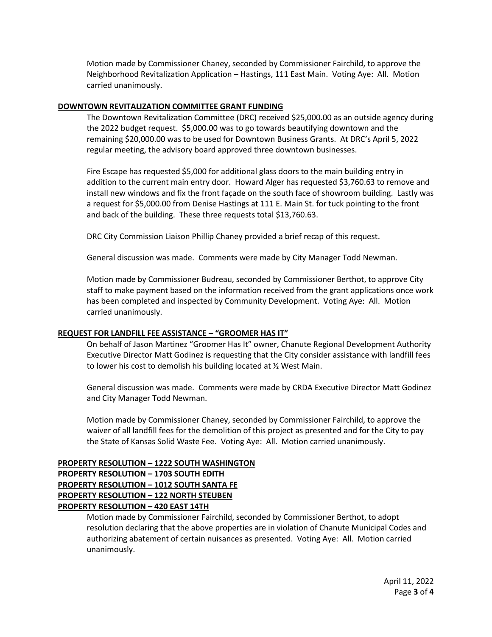Motion made by Commissioner Chaney, seconded by Commissioner Fairchild, to approve the Neighborhood Revitalization Application – Hastings, 111 East Main. Voting Aye: All. Motion carried unanimously.

# **DOWNTOWN REVITALIZATION COMMITTEE GRANT FUNDING**

The Downtown Revitalization Committee (DRC) received \$25,000.00 as an outside agency during the 2022 budget request. \$5,000.00 was to go towards beautifying downtown and the remaining \$20,000.00 was to be used for Downtown Business Grants. At DRC's April 5, 2022 regular meeting, the advisory board approved three downtown businesses.

Fire Escape has requested \$5,000 for additional glass doors to the main building entry in addition to the current main entry door. Howard Alger has requested \$3,760.63 to remove and install new windows and fix the front façade on the south face of showroom building. Lastly was a request for \$5,000.00 from Denise Hastings at 111 E. Main St. for tuck pointing to the front and back of the building. These three requests total \$13,760.63.

DRC City Commission Liaison Phillip Chaney provided a brief recap of this request.

General discussion was made. Comments were made by City Manager Todd Newman.

Motion made by Commissioner Budreau, seconded by Commissioner Berthot, to approve City staff to make payment based on the information received from the grant applications once work has been completed and inspected by Community Development. Voting Aye: All. Motion carried unanimously.

# **REQUEST FOR LANDFILL FEE ASSISTANCE – "GROOMER HAS IT"**

On behalf of Jason Martinez "Groomer Has It" owner, Chanute Regional Development Authority Executive Director Matt Godinez is requesting that the City consider assistance with landfill fees to lower his cost to demolish his building located at ½ West Main.

General discussion was made. Comments were made by CRDA Executive Director Matt Godinez and City Manager Todd Newman.

Motion made by Commissioner Chaney, seconded by Commissioner Fairchild, to approve the waiver of all landfill fees for the demolition of this project as presented and for the City to pay the State of Kansas Solid Waste Fee. Voting Aye: All. Motion carried unanimously.

# **PROPERTY RESOLUTION – 1222 SOUTH WASHINGTON PROPERTY RESOLUTION – 1703 SOUTH EDITH PROPERTY RESOLUTION – 1012 SOUTH SANTA FE PROPERTY RESOLUTION – 122 NORTH STEUBEN PROPERTY RESOLUTION – 420 EAST 14TH**

Motion made by Commissioner Fairchild, seconded by Commissioner Berthot, to adopt resolution declaring that the above properties are in violation of Chanute Municipal Codes and authorizing abatement of certain nuisances as presented. Voting Aye: All. Motion carried unanimously.